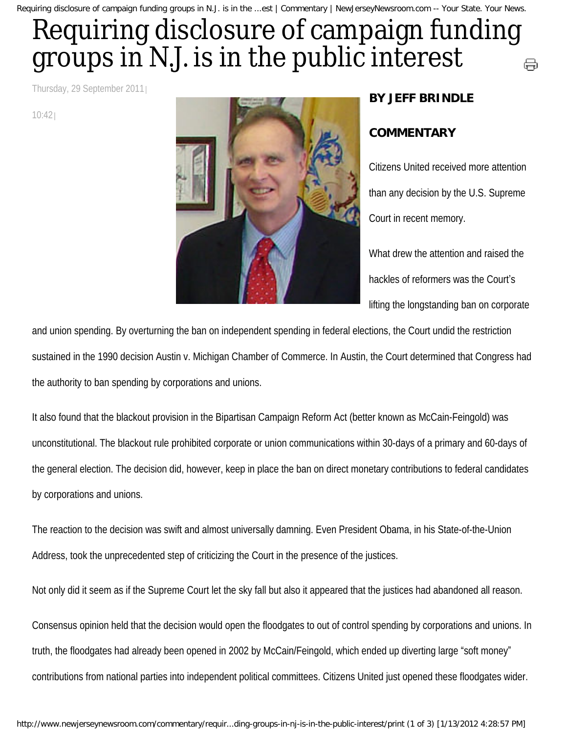Requiring disclosure of campaign funding groups in N.J. is in the ...est | Commentary | NewJerseyNewsroom.com -- Your State. Your News.

## Requiring disclosure of campaign funding groups in N.J. is in the public interest ⊖

Thursday, 29 September 2011

10:42



## **BY JEFF BRINDLE**

## **COMMENTARY**

Citizens United received more attention than any decision by the U.S. Supreme Court in recent memory.

What drew the attention and raised the hackles of reformers was the Court's lifting the longstanding ban on corporate

and union spending. By overturning the ban on independent spending in federal elections, the Court undid the restriction sustained in the 1990 decision Austin v. Michigan Chamber of Commerce. In Austin, the Court determined that Congress had the authority to ban spending by corporations and unions.

It also found that the blackout provision in the Bipartisan Campaign Reform Act (better known as McCain-Feingold) was unconstitutional. The blackout rule prohibited corporate or union communications within 30-days of a primary and 60-days of the general election. The decision did, however, keep in place the ban on direct monetary contributions to federal candidates by corporations and unions.

The reaction to the decision was swift and almost universally damning. Even President Obama, in his State-of-the-Union Address, took the unprecedented step of criticizing the Court in the presence of the justices.

Not only did it seem as if the Supreme Court let the sky fall but also it appeared that the justices had abandoned all reason.

Consensus opinion held that the decision would open the floodgates to out of control spending by corporations and unions. In truth, the floodgates had already been opened in 2002 by McCain/Feingold, which ended up diverting large "soft money" contributions from national parties into independent political committees. Citizens United just opened these floodgates wider.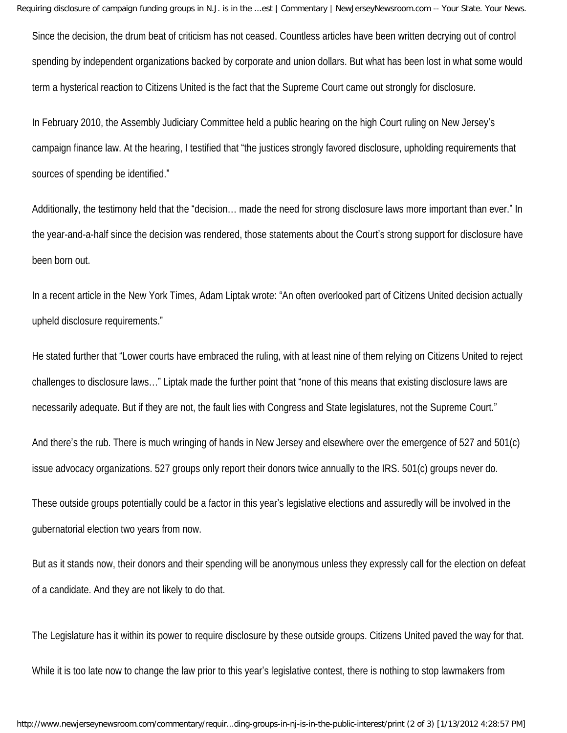Requiring disclosure of campaign funding groups in N.J. is in the ...est | Commentary | NewJerseyNewsroom.com -- Your State. Your News.

Since the decision, the drum beat of criticism has not ceased. Countless articles have been written decrying out of control spending by independent organizations backed by corporate and union dollars. But what has been lost in what some would term a hysterical reaction to Citizens United is the fact that the Supreme Court came out strongly for disclosure.

In February 2010, the Assembly Judiciary Committee held a public hearing on the high Court ruling on New Jersey's campaign finance law. At the hearing, I testified that "the justices strongly favored disclosure, upholding requirements that sources of spending be identified."

Additionally, the testimony held that the "decision… made the need for strong disclosure laws more important than ever." In the year-and-a-half since the decision was rendered, those statements about the Court's strong support for disclosure have been born out.

In a recent article in the New York Times, Adam Liptak wrote: "An often overlooked part of Citizens United decision actually upheld disclosure requirements."

He stated further that "Lower courts have embraced the ruling, with at least nine of them relying on Citizens United to reject challenges to disclosure laws…" Liptak made the further point that "none of this means that existing disclosure laws are necessarily adequate. But if they are not, the fault lies with Congress and State legislatures, not the Supreme Court."

And there's the rub. There is much wringing of hands in New Jersey and elsewhere over the emergence of 527 and 501(c) issue advocacy organizations. 527 groups only report their donors twice annually to the IRS. 501(c) groups never do.

These outside groups potentially could be a factor in this year's legislative elections and assuredly will be involved in the gubernatorial election two years from now.

But as it stands now, their donors and their spending will be anonymous unless they expressly call for the election on defeat of a candidate. And they are not likely to do that.

The Legislature has it within its power to require disclosure by these outside groups. Citizens United paved the way for that. While it is too late now to change the law prior to this year's legislative contest, there is nothing to stop lawmakers from